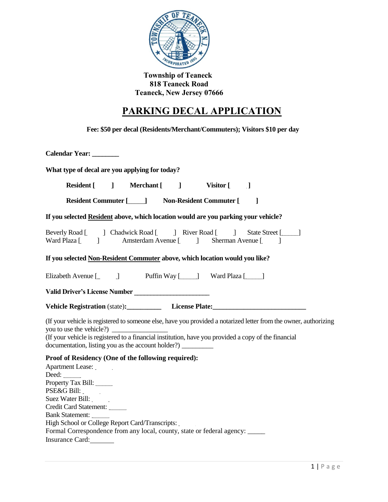

**Township of Teaneck 818 Teaneck Road Teaneck, New Jersey 07666**

## **PARKING DECAL APPLICATION**

**Fee: \$50 per decal (Residents/Merchant/Commuters); Visitors \$10 per day**

**Calendar Year: \_\_\_\_\_\_\_\_ What type of decal are you applying for today?** Resident [\_\_\_\_\_] Merchant [\_\_\_\_\_] Visitor [\_\_\_\_\_\_] **Resident Commuter [\_\_\_\_\_] Non-Resident Commuter [\_\_\_\_\_] If you selected Resident above, which location would are you parking your vehicle?** Beverly Road [\_\_\_\_\_] Chadwick Road [\_\_\_\_\_] River Road [\_\_\_\_\_] State Street [\_\_\_\_\_] Ward Plaza [\_\_\_\_\_] Amsterdam Avenue [\_\_\_\_\_] Sherman Avenue [\_\_\_\_\_] **If you selected Non-Resident Commuter above, which location would you like?** Elizabeth Avenue [\_\_\_\_\_\_] Puffin Way [\_\_\_\_\_] Ward Plaza [\_\_\_\_\_] **Valid Driver's License Number \_\_\_\_\_\_\_\_\_\_\_\_\_\_\_\_\_\_\_\_\_\_\_ Vehicle Registration** (state): License Plate: (If your vehicle is registered to someone else, have you provided a notarized letter from the owner, authorizing you to use the vehicle?) \_\_\_\_\_\_\_\_\_\_\_\_\_\_\_\_ (If your vehicle is registered to a financial institution, have you provided a copy of the financial documentation, listing you as the account holder?) **Proof of Residency (One of the following required):** Apartment Lease: Deed: Property Tax Bill: PSE&G Bill: \_\_\_\_\_ Suez Water Bill: Credit Card Statement: \_\_\_\_\_ Bank Statement: High School or College Report Card/Transcripts:

| Formal Correspondence from any local, county, state or federal agency: _____ |  |  |
|------------------------------------------------------------------------------|--|--|
| Insurance Card:                                                              |  |  |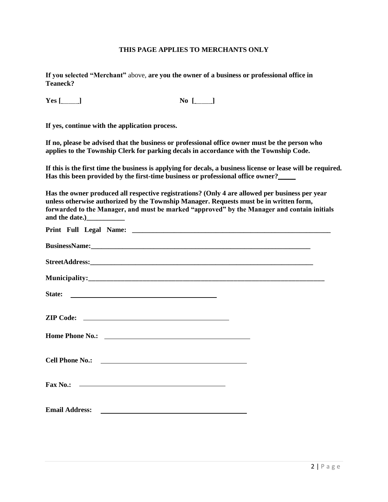## **THIS PAGE APPLIES TO MERCHANTS ONLY**

**If you selected "Merchant"** above, **are you the owner of a business or professional office in Teaneck?**

**Yes [\_\_\_\_\_] No [\_\_\_\_\_]**

**If yes, continue with the application process.**

**If no, please be advised that the business or professional office owner must be the person who applies to the Township Clerk for parking decals in accordance with the Township Code.**

**If this is the first time the business is applying for decals, a business license or lease will be required. Has this been provided by the first-time business or professional office owner?\_\_\_\_\_**

**Has the owner produced all respective registrations? (Only 4 are allowed per business per year unless otherwise authorized by the Township Manager. Requests must be in written form, forwarded to the Manager, and must be marked "approved" by the Manager and contain initials and the date.)\_\_\_\_\_\_\_\_\_\_\_**

| State:                   |  |  |  |  |  |  |
|--------------------------|--|--|--|--|--|--|
|                          |  |  |  |  |  |  |
|                          |  |  |  |  |  |  |
|                          |  |  |  |  |  |  |
| Fax No.: $\qquad \qquad$ |  |  |  |  |  |  |
|                          |  |  |  |  |  |  |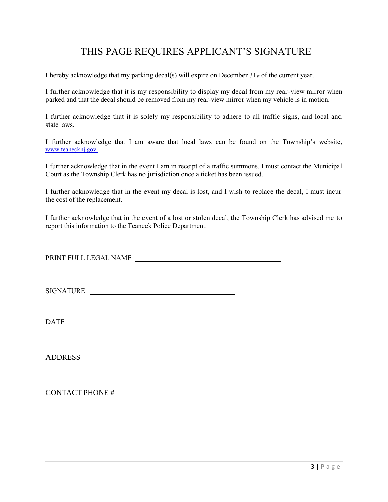## THIS PAGE REQUIRES APPLICANT'S SIGNATURE

I hereby acknowledge that my parking decal(s) will expire on December  $31_{st}$  of the current year.

I further acknowledge that it is my responsibility to display my decal from my rear-view mirror when parked and that the decal should be removed from my rear-view mirror when my vehicle is in motion.

I further acknowledge that it is solely my responsibility to adhere to all traffic signs, and local and state laws.

I further acknowledge that I am aware that local laws can be found on the Township's website, [www.teanecknj.gov.](http://www.teanecknj.gov/)

I further acknowledge that in the event I am in receipt of a traffic summons, I must contact the Municipal Court as the Township Clerk has no jurisdiction once a ticket has been issued.

I further acknowledge that in the event my decal is lost, and I wish to replace the decal, I must incur the cost of the replacement.

I further acknowledge that in the event of a lost or stolen decal, the Township Clerk has advised me to report this information to the Teaneck Police Department.

PRINT FULL LEGAL NAME

SIGNATURE

DATE

ADDRESS

CONTACT PHONE #